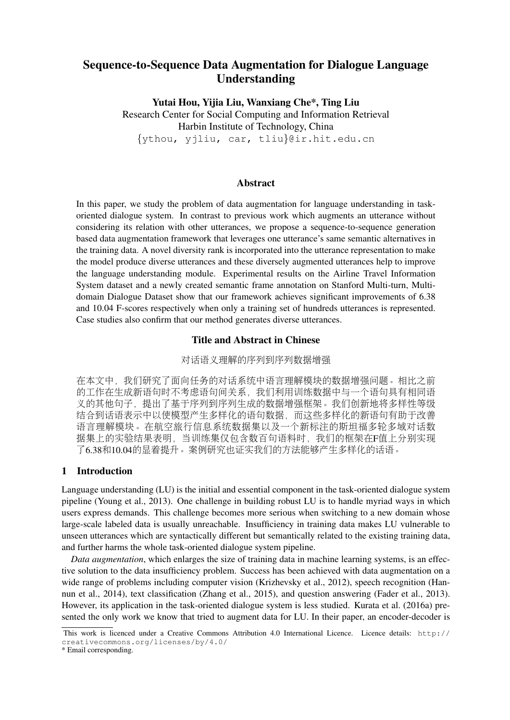# Sequence-to-Sequence Data Augmentation for Dialogue Language Understanding

Yutai Hou, Yijia Liu, Wanxiang Che\*, Ting Liu Research Center for Social Computing and Information Retrieval Harbin Institute of Technology, China {ythou, yjliu, car, tliu}@ir.hit.edu.cn

### Abstract

In this paper, we study the problem of data augmentation for language understanding in taskoriented dialogue system. In contrast to previous work which augments an utterance without considering its relation with other utterances, we propose a sequence-to-sequence generation based data augmentation framework that leverages one utterance's same semantic alternatives in the training data. A novel diversity rank is incorporated into the utterance representation to make the model produce diverse utterances and these diversely augmented utterances help to improve the language understanding module. Experimental results on the Airline Travel Information System dataset and a newly created semantic frame annotation on Stanford Multi-turn, Multidomain Dialogue Dataset show that our framework achieves significant improvements of 6.38 and 10.04 F-scores respectively when only a training set of hundreds utterances is represented. Case studies also confirm that our method generates diverse utterances.

### Title and Abstract in Chinese

### <sup>对</sup>话语义理解的序列到序列数据增强

<sup>在</sup>本文中,我们研究了面向任务的对话系统中语言理解模块的数据增强问题。相比之<sup>前</sup> <sup>的</sup>工作在生成新语句时不考虑语句间关系,我们利用训练数据中与一个语句具有相同<sup>语</sup> 义的其他句子,提出了基于序列到序列生成的数据增强框架。我们创新地将多样性等级 <sup>结</sup>合到话语表示中以使模型产生多样化的语句数据,而这些多样化的新语句有助于改<sup>善</sup> 语言理解模块。在航空旅行信息系统数据集以及一个新标注的斯坦福多轮多域对话数 <sup>据</sup>集上的实验结果表明,当训练集仅包含数百句语料时,我们的框架在F值上分别实<sup>现</sup> <sup>了</sup>6.38和10.04的显着提升。案例研究也证实我们的方法能够产生多样化的话语。

## 1 Introduction

Language understanding (LU) is the initial and essential component in the task-oriented dialogue system pipeline (Young et al., 2013). One challenge in building robust LU is to handle myriad ways in which users express demands. This challenge becomes more serious when switching to a new domain whose large-scale labeled data is usually unreachable. Insufficiency in training data makes LU vulnerable to unseen utterances which are syntactically different but semantically related to the existing training data, and further harms the whole task-oriented dialogue system pipeline.

*Data augmentation*, which enlarges the size of training data in machine learning systems, is an effective solution to the data insufficiency problem. Success has been achieved with data augmentation on a wide range of problems including computer vision (Krizhevsky et al., 2012), speech recognition (Hannun et al., 2014), text classification (Zhang et al., 2015), and question answering (Fader et al., 2013). However, its application in the task-oriented dialogue system is less studied. Kurata et al. (2016a) presented the only work we know that tried to augment data for LU. In their paper, an encoder-decoder is

This work is licenced under a Creative Commons Attribution 4.0 International Licence. Licence details: http:// creativecommons.org/licenses/by/4.0/

<sup>\*</sup> Email corresponding.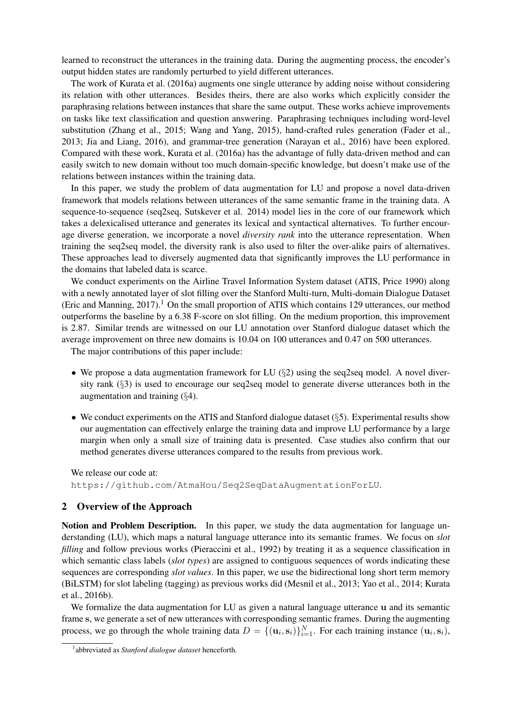learned to reconstruct the utterances in the training data. During the augmenting process, the encoder's output hidden states are randomly perturbed to yield different utterances.

The work of Kurata et al. (2016a) augments one single utterance by adding noise without considering its relation with other utterances. Besides theirs, there are also works which explicitly consider the paraphrasing relations between instances that share the same output. These works achieve improvements on tasks like text classification and question answering. Paraphrasing techniques including word-level substitution (Zhang et al., 2015; Wang and Yang, 2015), hand-crafted rules generation (Fader et al., 2013; Jia and Liang, 2016), and grammar-tree generation (Narayan et al., 2016) have been explored. Compared with these work, Kurata et al. (2016a) has the advantage of fully data-driven method and can easily switch to new domain without too much domain-specific knowledge, but doesn't make use of the relations between instances within the training data.

In this paper, we study the problem of data augmentation for LU and propose a novel data-driven framework that models relations between utterances of the same semantic frame in the training data. A sequence-to-sequence (seq2seq, Sutskever et al. 2014) model lies in the core of our framework which takes a delexicalised utterance and generates its lexical and syntactical alternatives. To further encourage diverse generation, we incorporate a novel *diversity rank* into the utterance representation. When training the seq2seq model, the diversity rank is also used to filter the over-alike pairs of alternatives. These approaches lead to diversely augmented data that significantly improves the LU performance in the domains that labeled data is scarce.

We conduct experiments on the Airline Travel Information System dataset (ATIS, Price 1990) along with a newly annotated layer of slot filling over the Stanford Multi-turn, Multi-domain Dialogue Dataset (Eric and Manning,  $2017$ ).<sup>1</sup> On the small proportion of ATIS which contains 129 utterances, our method outperforms the baseline by a 6.38 F-score on slot filling. On the medium proportion, this improvement is 2.87. Similar trends are witnessed on our LU annotation over Stanford dialogue dataset which the average improvement on three new domains is 10.04 on 100 utterances and 0.47 on 500 utterances.

The major contributions of this paper include:

- We propose a data augmentation framework for LU  $(\S 2)$  using the seq2seq model. A novel diversity rank  $(\S$ 3) is used to encourage our seq2seq model to generate diverse utterances both in the augmentation and training (§4).
- We conduct experiments on the ATIS and Stanford dialogue dataset  $(\xi 5)$ . Experimental results show our augmentation can effectively enlarge the training data and improve LU performance by a large margin when only a small size of training data is presented. Case studies also confirm that our method generates diverse utterances compared to the results from previous work.

We release our code at: https://github.com/AtmaHou/Seq2SeqDataAugmentationForLU.

# 2 Overview of the Approach

Notion and Problem Description. In this paper, we study the data augmentation for language understanding (LU), which maps a natural language utterance into its semantic frames. We focus on *slot filling* and follow previous works (Pieraccini et al., 1992) by treating it as a sequence classification in which semantic class labels *(slot types)* are assigned to contiguous sequences of words indicating these sequences are corresponding *slot values*. In this paper, we use the bidirectional long short term memory (BiLSTM) for slot labeling (tagging) as previous works did (Mesnil et al., 2013; Yao et al., 2014; Kurata et al., 2016b).

We formalize the data augmentation for LU as given a natural language utterance u and its semantic frame s, we generate a set of new utterances with corresponding semantic frames. During the augmenting process, we go through the whole training data  $D = \{(\mathbf{u}_i, \mathbf{s}_i)\}_{i=1}^N$ . For each training instance  $(\mathbf{u}_i, \mathbf{s}_i)$ ,

<sup>1</sup> abbreviated as *Stanford dialogue dataset* henceforth.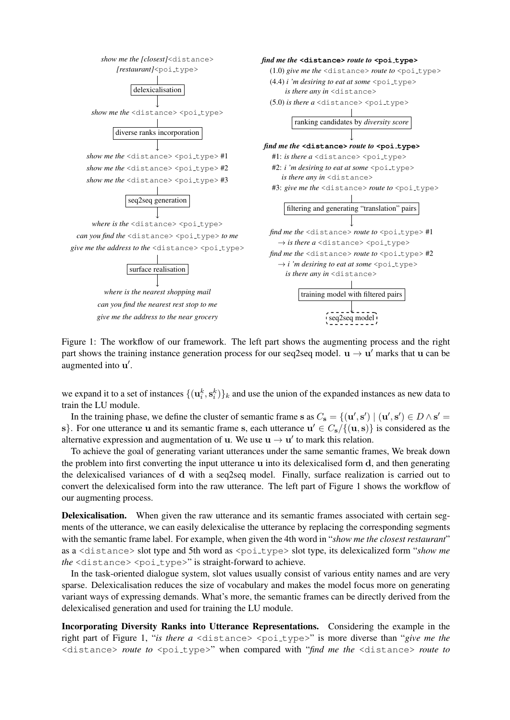

Figure 1: The workflow of our framework. The left part shows the augmenting process and the right part shows the training instance generation process for our seq2seq model.  $\mathbf{u} \to \mathbf{u}'$  marks that  $\mathbf{u}$  can be augmented into u'.

we expand it to a set of instances  $\{(\mathbf{u}_i^k, \mathbf{s}_i^k)\}_k$  and use the union of the expanded instances as new data to train the LU module.

In the training phase, we define the cluster of semantic frame s as  $C_s = \{(\mathbf{u}', \mathbf{s}') \mid (\mathbf{u}', \mathbf{s}') \in D \wedge \mathbf{s}' =$ s}. For one utterance u and its semantic frame s, each utterance  $u' \in C_s / \{(u, s)\}\$ is considered as the alternative expression and augmentation of **u**. We use  $\mathbf{u} \to \mathbf{u}'$  to mark this relation.

To achieve the goal of generating variant utterances under the same semantic frames, We break down the problem into first converting the input utterance u into its delexicalised form d, and then generating the delexicalised variances of d with a seq2seq model. Finally, surface realization is carried out to convert the delexicalised form into the raw utterance. The left part of Figure 1 shows the workflow of our augmenting process.

Delexicalisation. When given the raw utterance and its semantic frames associated with certain segments of the utterance, we can easily delexicalise the utterance by replacing the corresponding segments with the semantic frame label. For example, when given the 4th word in "*show me the closest restaurant*" as a <distance> slot type and 5th word as <poi\_type> slot type, its delexicalized form "*show me* the <distance> <poi\_type>" is straight-forward to achieve.

In the task-oriented dialogue system, slot values usually consist of various entity names and are very sparse. Delexicalisation reduces the size of vocabulary and makes the model focus more on generating variant ways of expressing demands. What's more, the semantic frames can be directly derived from the delexicalised generation and used for training the LU module.

Incorporating Diversity Ranks into Utterance Representations. Considering the example in the right part of Figure 1, "*is there a* <distance> <poi\_type>" is more diverse than "*give me the* <distance> *route to* <poi type>" when compared with "*find me the* <distance> *route to*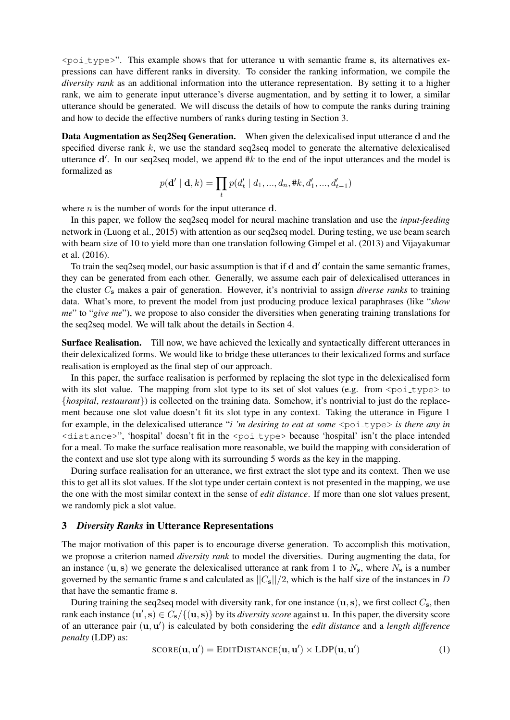$\epsilon$   $\phi$   $\pm$   $\psi$   $\epsilon$   $\rightarrow$ ". This example shows that for utterance u with semantic frame s, its alternatives expressions can have different ranks in diversity. To consider the ranking information, we compile the *diversity rank* as an additional information into the utterance representation. By setting it to a higher rank, we aim to generate input utterance's diverse augmentation, and by setting it to lower, a similar utterance should be generated. We will discuss the details of how to compute the ranks during training and how to decide the effective numbers of ranks during testing in Section 3.

Data Augmentation as Seq2Seq Generation. When given the delexicalised input utterance d and the specified diverse rank  $k$ , we use the standard seq2seq model to generate the alternative delexicalised utterance  $d'$ . In our seq2seq model, we append #k to the end of the input utterances and the model is formalized as

$$
p(\mathbf{d}' \mid \mathbf{d}, k) = \prod_t p(d'_t \mid d_1, ..., d_n, \#k, d'_1, ..., d'_{t-1})
$$

where  $n$  is the number of words for the input utterance  $d$ .

In this paper, we follow the seq2seq model for neural machine translation and use the *input-feeding* network in (Luong et al., 2015) with attention as our seq2seq model. During testing, we use beam search with beam size of 10 to yield more than one translation following Gimpel et al. (2013) and Vijayakumar et al. (2016).

To train the seq2seq model, our basic assumption is that if d and d' contain the same semantic frames, they can be generated from each other. Generally, we assume each pair of delexicalised utterances in the cluster C<sup>s</sup> makes a pair of generation. However, it's nontrivial to assign *diverse ranks* to training data. What's more, to prevent the model from just producing produce lexical paraphrases (like "*show me*" to "*give me*"), we propose to also consider the diversities when generating training translations for the seq2seq model. We will talk about the details in Section 4.

Surface Realisation. Till now, we have achieved the lexically and syntactically different utterances in their delexicalized forms. We would like to bridge these utterances to their lexicalized forms and surface realisation is employed as the final step of our approach.

In this paper, the surface realisation is performed by replacing the slot type in the delexicalised form with its slot value. The mapping from slot type to its set of slot values (e.g. from  $\epsilon$  poi\_type> to {*hospital*, *restaurant*}) is collected on the training data. Somehow, it's nontrivial to just do the replacement because one slot value doesn't fit its slot type in any context. Taking the utterance in Figure 1 for example, in the delexicalised utterance "*i* 'm desiring to eat at some <poi\_type> *is there any in* <distance>", 'hospital' doesn't fit in the <poi type> because 'hospital' isn't the place intended for a meal. To make the surface realisation more reasonable, we build the mapping with consideration of the context and use slot type along with its surrounding 5 words as the key in the mapping.

During surface realisation for an utterance, we first extract the slot type and its context. Then we use this to get all its slot values. If the slot type under certain context is not presented in the mapping, we use the one with the most similar context in the sense of *edit distance*. If more than one slot values present, we randomly pick a slot value.

### 3 *Diversity Ranks* in Utterance Representations

The major motivation of this paper is to encourage diverse generation. To accomplish this motivation, we propose a criterion named *diversity rank* to model the diversities. During augmenting the data, for an instance (u, s) we generate the delexicalised utterance at rank from 1 to  $N_s$ , where  $N_s$  is a number governed by the semantic frame s and calculated as  $||C_s||/2$ , which is the half size of the instances in D that have the semantic frame s.

During training the seq2seq model with diversity rank, for one instance  $(\mathbf{u}, \mathbf{s})$ , we first collect  $C_s$ , then rank each instance  $(\mathbf{u}',\mathbf{s}) \in C_{\mathbf{s}}/\{(\mathbf{u},\mathbf{s})\}$  by its *diversity score* against **u**. In this paper, the diversity score of an utterance pair (u, u 0 ) is calculated by both considering the *edit distance* and a *length difference penalty* (LDP) as:

$$
SCORE(\mathbf{u}, \mathbf{u}') = \text{EDITDISTANCE}(\mathbf{u}, \mathbf{u}') \times \text{LDP}(\mathbf{u}, \mathbf{u}') \tag{1}
$$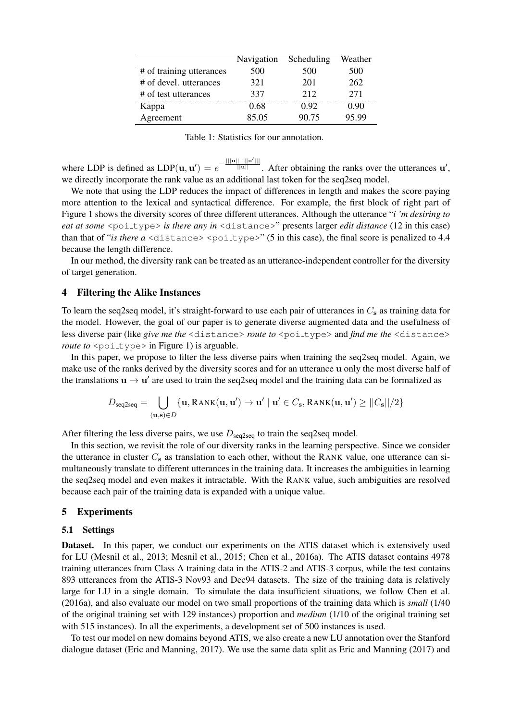|                          | Navigation | Scheduling | Weather |
|--------------------------|------------|------------|---------|
| # of training utterances | 500        | 500        | 500     |
| # of devel. utterances   | 321        | 201        | 262     |
| # of test utterances     | 337        | 212        | 271     |
| Kappa                    | 0.68       | 0.92       | 0.90    |
| Agreement                | 85.05      | 90.75      | 95.99   |

Table 1: Statistics for our annotation.

where LDP is defined as  $LDP(\mathbf{u}, \mathbf{u}') = e^{-\frac{|||\mathbf{u}|| - ||\mathbf{u}'||}{||\mathbf{u}||}}$ . After obtaining the ranks over the utterances  $\mathbf{u}'$ , we directly incorporate the rank value as an additional last token for the seq2seq model.

We note that using the LDP reduces the impact of differences in length and makes the score paying more attention to the lexical and syntactical difference. For example, the first block of right part of Figure 1 shows the diversity scores of three different utterances. Although the utterance "*i 'm desiring to eat at some* <poi\_type> *is there any in* <distance>" presents larger *edit distance* (12 in this case) than that of "*is there a*  $\langle$ distance $\rangle$   $\langle$ poi\_type $\rangle$ " (5 in this case), the final score is penalized to 4.4 because the length difference.

In our method, the diversity rank can be treated as an utterance-independent controller for the diversity of target generation.

#### 4 Filtering the Alike Instances

To learn the seq2seq model, it's straight-forward to use each pair of utterances in  $C_s$  as training data for the model. However, the goal of our paper is to generate diverse augmented data and the usefulness of less diverse pair (like *give me the* <distance> *route to* <poi\_type> and *find me the* <distance> *route to* <poi\_type> in Figure 1) is arguable.

In this paper, we propose to filter the less diverse pairs when training the seq2seq model. Again, we make use of the ranks derived by the diversity scores and for an utterance u only the most diverse half of the translations  $\mathbf{u} \to \mathbf{u}'$  are used to train the seq2seq model and the training data can be formalized as

$$
D_{\text{seq2seq}} = \bigcup_{(\mathbf{u}, \mathbf{s}) \in D} \{ \mathbf{u}, \text{RANK}(\mathbf{u}, \mathbf{u}') \rightarrow \mathbf{u}' \mid \mathbf{u}' \in C_{\mathbf{s}}, \text{RANK}(\mathbf{u}, \mathbf{u}') \geq ||C_{\mathbf{s}}||/2 \}
$$

After filtering the less diverse pairs, we use  $D_{\text{seq2seq}}$  to train the seq2seq model.

In this section, we revisit the role of our diversity ranks in the learning perspective. Since we consider the utterance in cluster  $C_s$  as translation to each other, without the RANK value, one utterance can simultaneously translate to different utterances in the training data. It increases the ambiguities in learning the seq2seq model and even makes it intractable. With the RANK value, such ambiguities are resolved because each pair of the training data is expanded with a unique value.

## 5 Experiments

#### 5.1 Settings

Dataset. In this paper, we conduct our experiments on the ATIS dataset which is extensively used for LU (Mesnil et al., 2013; Mesnil et al., 2015; Chen et al., 2016a). The ATIS dataset contains 4978 training utterances from Class A training data in the ATIS-2 and ATIS-3 corpus, while the test contains 893 utterances from the ATIS-3 Nov93 and Dec94 datasets. The size of the training data is relatively large for LU in a single domain. To simulate the data insufficient situations, we follow Chen et al. (2016a), and also evaluate our model on two small proportions of the training data which is *small* (1/40 of the original training set with 129 instances) proportion and *medium* (1/10 of the original training set with 515 instances). In all the experiments, a development set of 500 instances is used.

To test our model on new domains beyond ATIS, we also create a new LU annotation over the Stanford dialogue dataset (Eric and Manning, 2017). We use the same data split as Eric and Manning (2017) and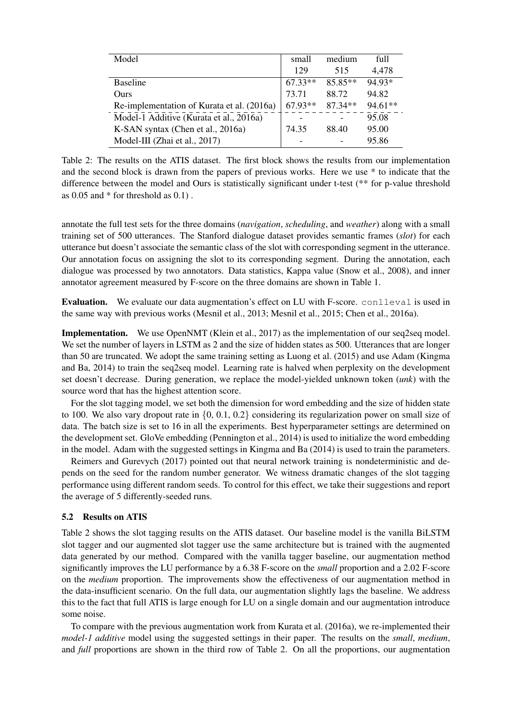| Model                                      | small     | medium    | full    |
|--------------------------------------------|-----------|-----------|---------|
|                                            |           |           |         |
|                                            | 129       | 515       | 4,478   |
| <b>Baseline</b>                            | $67.33**$ | 85.85**   | 94.93*  |
| Ours                                       | 73.71     | 88.72     | 94.82   |
| Re-implementation of Kurata et al. (2016a) | $67.93**$ | $87.34**$ | 94.61** |
| Model-1 Additive (Kurata et al., 2016a)    |           |           | 95.08   |
| K-SAN syntax (Chen et al., 2016a)          | 74.35     | 88.40     | 95.00   |
| Model-III (Zhai et al., 2017)              |           |           | 95.86   |

Table 2: The results on the ATIS dataset. The first block shows the results from our implementation and the second block is drawn from the papers of previous works. Here we use \* to indicate that the difference between the model and Ours is statistically significant under t-test (\*\* for p-value threshold as  $0.05$  and  $*$  for threshold as  $0.1$ .

annotate the full test sets for the three domains (*navigation*, *scheduling*, and *weather*) along with a small training set of 500 utterances. The Stanford dialogue dataset provides semantic frames (*slot*) for each utterance but doesn't associate the semantic class of the slot with corresponding segment in the utterance. Our annotation focus on assigning the slot to its corresponding segment. During the annotation, each dialogue was processed by two annotators. Data statistics, Kappa value (Snow et al., 2008), and inner annotator agreement measured by F-score on the three domains are shown in Table 1.

**Evaluation.** We evaluate our data augmentation's effect on LU with F-score. conlleval is used in the same way with previous works (Mesnil et al., 2013; Mesnil et al., 2015; Chen et al., 2016a).

Implementation. We use OpenNMT (Klein et al., 2017) as the implementation of our seq2seq model. We set the number of layers in LSTM as 2 and the size of hidden states as 500. Utterances that are longer than 50 are truncated. We adopt the same training setting as Luong et al. (2015) and use Adam (Kingma and Ba, 2014) to train the seq2seq model. Learning rate is halved when perplexity on the development set doesn't decrease. During generation, we replace the model-yielded unknown token (*unk*) with the source word that has the highest attention score.

For the slot tagging model, we set both the dimension for word embedding and the size of hidden state to 100. We also vary dropout rate in  $\{0, 0.1, 0.2\}$  considering its regularization power on small size of data. The batch size is set to 16 in all the experiments. Best hyperparameter settings are determined on the development set. GloVe embedding (Pennington et al., 2014) is used to initialize the word embedding in the model. Adam with the suggested settings in Kingma and Ba (2014) is used to train the parameters.

Reimers and Gurevych (2017) pointed out that neural network training is nondeterministic and depends on the seed for the random number generator. We witness dramatic changes of the slot tagging performance using different random seeds. To control for this effect, we take their suggestions and report the average of 5 differently-seeded runs.

# 5.2 Results on ATIS

Table 2 shows the slot tagging results on the ATIS dataset. Our baseline model is the vanilla BiLSTM slot tagger and our augmented slot tagger use the same architecture but is trained with the augmented data generated by our method. Compared with the vanilla tagger baseline, our augmentation method significantly improves the LU performance by a 6.38 F-score on the *small* proportion and a 2.02 F-score on the *medium* proportion. The improvements show the effectiveness of our augmentation method in the data-insufficient scenario. On the full data, our augmentation slightly lags the baseline. We address this to the fact that full ATIS is large enough for LU on a single domain and our augmentation introduce some noise.

To compare with the previous augmentation work from Kurata et al. (2016a), we re-implemented their *model-1 additive* model using the suggested settings in their paper. The results on the *small*, *medium*, and *full* proportions are shown in the third row of Table 2. On all the proportions, our augmentation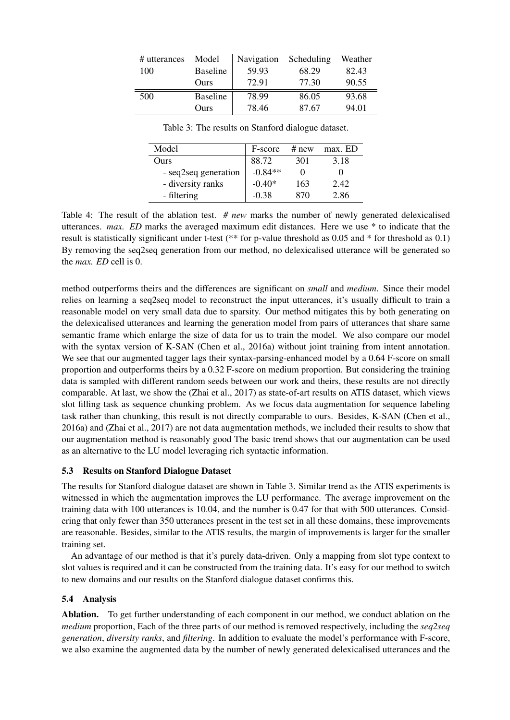| # utterances | Model           | Navigation | Scheduling | Weather |
|--------------|-----------------|------------|------------|---------|
| 100          | <b>Baseline</b> | 59.93      | 68.29      | 82.43   |
|              | Ours            | 72.91      | 77.30      | 90.55   |
| 500          | <b>Baseline</b> | 78.99      | 86.05      | 93.68   |
|              | Ours            | 78.46      | 87.67      | 94.01   |

Model F-score # new max. ED Ours 88.72 301 3.18  $-$  seq2seq generation  $\vert -0.84*** \vert 0$  0 - diversity ranks  $\vert$  -0.40\* 163 2.42 - filtering  $-0.38$  870 2.86

Table 3: The results on Stanford dialogue dataset.

Table 4: The result of the ablation test. *# new* marks the number of newly generated delexicalised utterances. *max. ED* marks the averaged maximum edit distances. Here we use \* to indicate that the result is statistically significant under t-test (\*\* for p-value threshold as 0.05 and \* for threshold as 0.1) By removing the seq2seq generation from our method, no delexicalised utterance will be generated so the *max. ED* cell is 0.

method outperforms theirs and the differences are significant on *small* and *medium*. Since their model relies on learning a seq2seq model to reconstruct the input utterances, it's usually difficult to train a reasonable model on very small data due to sparsity. Our method mitigates this by both generating on the delexicalised utterances and learning the generation model from pairs of utterances that share same semantic frame which enlarge the size of data for us to train the model. We also compare our model with the syntax version of K-SAN (Chen et al., 2016a) without joint training from intent annotation. We see that our augmented tagger lags their syntax-parsing-enhanced model by a 0.64 F-score on small proportion and outperforms theirs by a 0.32 F-score on medium proportion. But considering the training data is sampled with different random seeds between our work and theirs, these results are not directly comparable. At last, we show the (Zhai et al., 2017) as state-of-art results on ATIS dataset, which views slot filling task as sequence chunking problem. As we focus data augmentation for sequence labeling task rather than chunking, this result is not directly comparable to ours. Besides, K-SAN (Chen et al., 2016a) and (Zhai et al., 2017) are not data augmentation methods, we included their results to show that our augmentation method is reasonably good The basic trend shows that our augmentation can be used as an alternative to the LU model leveraging rich syntactic information.

# 5.3 Results on Stanford Dialogue Dataset

The results for Stanford dialogue dataset are shown in Table 3. Similar trend as the ATIS experiments is witnessed in which the augmentation improves the LU performance. The average improvement on the training data with 100 utterances is 10.04, and the number is 0.47 for that with 500 utterances. Considering that only fewer than 350 utterances present in the test set in all these domains, these improvements are reasonable. Besides, similar to the ATIS results, the margin of improvements is larger for the smaller training set.

An advantage of our method is that it's purely data-driven. Only a mapping from slot type context to slot values is required and it can be constructed from the training data. It's easy for our method to switch to new domains and our results on the Stanford dialogue dataset confirms this.

# 5.4 Analysis

Ablation. To get further understanding of each component in our method, we conduct ablation on the *medium* proportion, Each of the three parts of our method is removed respectively, including the *seq2seq generation*, *diversity ranks*, and *filtering*. In addition to evaluate the model's performance with F-score, we also examine the augmented data by the number of newly generated delexicalised utterances and the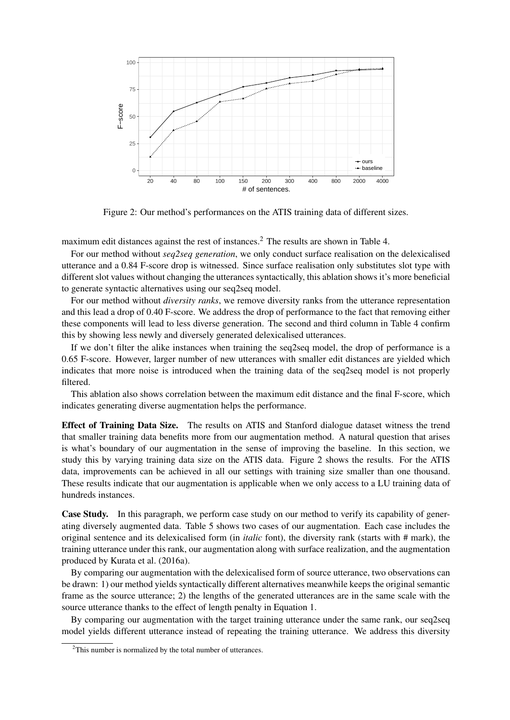

Figure 2: Our method's performances on the ATIS training data of different sizes.

maximum edit distances against the rest of instances.<sup>2</sup> The results are shown in Table 4.

For our method without *seq2seq generation*, we only conduct surface realisation on the delexicalised utterance and a 0.84 F-score drop is witnessed. Since surface realisation only substitutes slot type with different slot values without changing the utterances syntactically, this ablation shows it's more beneficial to generate syntactic alternatives using our seq2seq model.

For our method without *diversity ranks*, we remove diversity ranks from the utterance representation and this lead a drop of 0.40 F-score. We address the drop of performance to the fact that removing either these components will lead to less diverse generation. The second and third column in Table 4 confirm this by showing less newly and diversely generated delexicalised utterances.

If we don't filter the alike instances when training the seq2seq model, the drop of performance is a 0.65 F-score. However, larger number of new utterances with smaller edit distances are yielded which indicates that more noise is introduced when the training data of the seq2seq model is not properly filtered.

This ablation also shows correlation between the maximum edit distance and the final F-score, which indicates generating diverse augmentation helps the performance.

Effect of Training Data Size. The results on ATIS and Stanford dialogue dataset witness the trend that smaller training data benefits more from our augmentation method. A natural question that arises is what's boundary of our augmentation in the sense of improving the baseline. In this section, we study this by varying training data size on the ATIS data. Figure 2 shows the results. For the ATIS data, improvements can be achieved in all our settings with training size smaller than one thousand. These results indicate that our augmentation is applicable when we only access to a LU training data of hundreds instances.

Case Study. In this paragraph, we perform case study on our method to verify its capability of generating diversely augmented data. Table 5 shows two cases of our augmentation. Each case includes the original sentence and its delexicalised form (in *italic* font), the diversity rank (starts with # mark), the training utterance under this rank, our augmentation along with surface realization, and the augmentation produced by Kurata et al. (2016a).

By comparing our augmentation with the delexicalised form of source utterance, two observations can be drawn: 1) our method yields syntactically different alternatives meanwhile keeps the original semantic frame as the source utterance; 2) the lengths of the generated utterances are in the same scale with the source utterance thanks to the effect of length penalty in Equation 1.

By comparing our augmentation with the target training utterance under the same rank, our seq2seq model yields different utterance instead of repeating the training utterance. We address this diversity

<sup>&</sup>lt;sup>2</sup>This number is normalized by the total number of utterances.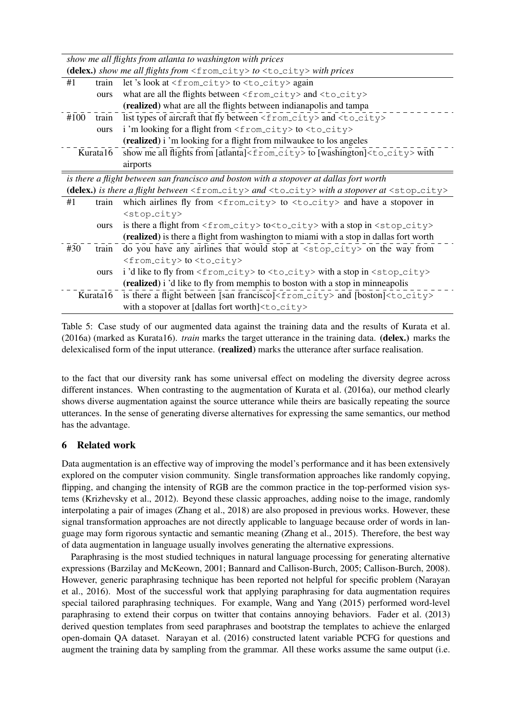| show me all flights from atlanta to washington with prices                               |                                                                                                               |                                                                                                                        |  |
|------------------------------------------------------------------------------------------|---------------------------------------------------------------------------------------------------------------|------------------------------------------------------------------------------------------------------------------------|--|
| (delex.) show me all flights from $\langle$ from_city> to $\langle$ to_city> with prices |                                                                                                               |                                                                                                                        |  |
| #1                                                                                       | train                                                                                                         | let's look at $\langle$ from_city> to $\langle$ to_city> again                                                         |  |
|                                                                                          | ours                                                                                                          | what are all the flights between <from_city> and <to_city></to_city></from_city>                                       |  |
|                                                                                          |                                                                                                               | (realized) what are all the flights between indianapolis and tampa                                                     |  |
| #100                                                                                     | train                                                                                                         | list types of aircraft that fly between <from_city> and <to_city></to_city></from_city>                                |  |
|                                                                                          | ours                                                                                                          | i'm looking for a flight from <from_city> to <to_city></to_city></from_city>                                           |  |
|                                                                                          | (realized) i 'm looking for a flight from milwaukee to los angeles                                            |                                                                                                                        |  |
|                                                                                          | show me all flights from [atlanta] <from_city>to [washington]<to_city>with<br/>Kurata16</to_city></from_city> |                                                                                                                        |  |
|                                                                                          |                                                                                                               | airports                                                                                                               |  |
|                                                                                          |                                                                                                               | is there a flight between san francisco and boston with a stopover at dallas fort worth                                |  |
|                                                                                          |                                                                                                               | (delex.) is there a flight between $\langle$ from_city> and $\langle$ to_city> with a stopover at $\langle$ stop_city> |  |
| #1                                                                                       | train                                                                                                         | which airlines fly from $\langle$ from $\langle$ city> to $\langle$ to $\langle$ to $\langle$ and have a stopover in   |  |
|                                                                                          |                                                                                                               | <stop_city></stop_city>                                                                                                |  |
|                                                                                          | ours                                                                                                          | is there a flight from <from_city>to<to_city> with a stop in <stop_city></stop_city></to_city></from_city>             |  |
|                                                                                          |                                                                                                               | (realized) is there a flight from washington to miami with a stop in dallas fort worth                                 |  |
| #30                                                                                      | train                                                                                                         | do you have any airlines that would stop at <stop_city> on the way from</stop_city>                                    |  |
|                                                                                          |                                                                                                               | <from_city> to <to_city></to_city></from_city>                                                                         |  |
|                                                                                          | ours                                                                                                          | i'd like to fly from <from_city> to <to_city> with a stop in <stop_city></stop_city></to_city></from_city>             |  |
|                                                                                          |                                                                                                               | (realized) i 'd like to fly from memphis to boston with a stop in minneapolis                                          |  |
| Kurata16                                                                                 |                                                                                                               | is there a flight between [san francisco] <from_city> and [boston]<to_city></to_city></from_city>                      |  |
|                                                                                          |                                                                                                               | with a stopover at [dallas fort worth] <to_city></to_city>                                                             |  |

Table 5: Case study of our augmented data against the training data and the results of Kurata et al. (2016a) (marked as Kurata16). *train* marks the target utterance in the training data. (delex.) marks the delexicalised form of the input utterance. (**realized**) marks the utterance after surface realisation.

to the fact that our diversity rank has some universal effect on modeling the diversity degree across different instances. When contrasting to the augmentation of Kurata et al. (2016a), our method clearly shows diverse augmentation against the source utterance while theirs are basically repeating the source utterances. In the sense of generating diverse alternatives for expressing the same semantics, our method has the advantage.

# 6 Related work

Data augmentation is an effective way of improving the model's performance and it has been extensively explored on the computer vision community. Single transformation approaches like randomly copying, flipping, and changing the intensity of RGB are the common practice in the top-performed vision systems (Krizhevsky et al., 2012). Beyond these classic approaches, adding noise to the image, randomly interpolating a pair of images (Zhang et al., 2018) are also proposed in previous works. However, these signal transformation approaches are not directly applicable to language because order of words in language may form rigorous syntactic and semantic meaning (Zhang et al., 2015). Therefore, the best way of data augmentation in language usually involves generating the alternative expressions.

Paraphrasing is the most studied techniques in natural language processing for generating alternative expressions (Barzilay and McKeown, 2001; Bannard and Callison-Burch, 2005; Callison-Burch, 2008). However, generic paraphrasing technique has been reported not helpful for specific problem (Narayan et al., 2016). Most of the successful work that applying paraphrasing for data augmentation requires special tailored paraphrasing techniques. For example, Wang and Yang (2015) performed word-level paraphrasing to extend their corpus on twitter that contains annoying behaviors. Fader et al. (2013) derived question templates from seed paraphrases and bootstrap the templates to achieve the enlarged open-domain QA dataset. Narayan et al. (2016) constructed latent variable PCFG for questions and augment the training data by sampling from the grammar. All these works assume the same output (i.e.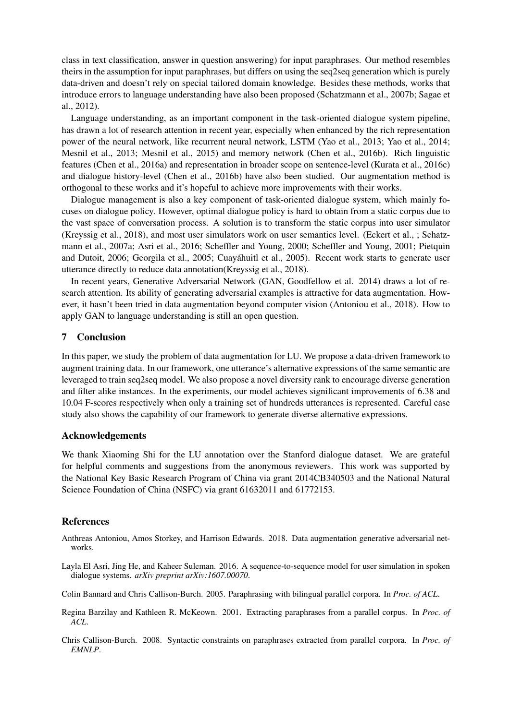class in text classification, answer in question answering) for input paraphrases. Our method resembles theirs in the assumption for input paraphrases, but differs on using the seq2seq generation which is purely data-driven and doesn't rely on special tailored domain knowledge. Besides these methods, works that introduce errors to language understanding have also been proposed (Schatzmann et al., 2007b; Sagae et al., 2012).

Language understanding, as an important component in the task-oriented dialogue system pipeline, has drawn a lot of research attention in recent year, especially when enhanced by the rich representation power of the neural network, like recurrent neural network, LSTM (Yao et al., 2013; Yao et al., 2014; Mesnil et al., 2013; Mesnil et al., 2015) and memory network (Chen et al., 2016b). Rich linguistic features (Chen et al., 2016a) and representation in broader scope on sentence-level (Kurata et al., 2016c) and dialogue history-level (Chen et al., 2016b) have also been studied. Our augmentation method is orthogonal to these works and it's hopeful to achieve more improvements with their works.

Dialogue management is also a key component of task-oriented dialogue system, which mainly focuses on dialogue policy. However, optimal dialogue policy is hard to obtain from a static corpus due to the vast space of conversation process. A solution is to transform the static corpus into user simulator (Kreyssig et al., 2018), and most user simulators work on user semantics level. (Eckert et al., ; Schatzmann et al., 2007a; Asri et al., 2016; Scheffler and Young, 2000; Scheffler and Young, 2001; Pietquin and Dutoit, 2006; Georgila et al., 2005; Cuayahuitl et al., 2005). Recent work starts to generate user ´ utterance directly to reduce data annotation(Kreyssig et al., 2018).

In recent years, Generative Adversarial Network (GAN, Goodfellow et al. 2014) draws a lot of research attention. Its ability of generating adversarial examples is attractive for data augmentation. However, it hasn't been tried in data augmentation beyond computer vision (Antoniou et al., 2018). How to apply GAN to language understanding is still an open question.

## 7 Conclusion

In this paper, we study the problem of data augmentation for LU. We propose a data-driven framework to augment training data. In our framework, one utterance's alternative expressions of the same semantic are leveraged to train seq2seq model. We also propose a novel diversity rank to encourage diverse generation and filter alike instances. In the experiments, our model achieves significant improvements of 6.38 and 10.04 F-scores respectively when only a training set of hundreds utterances is represented. Careful case study also shows the capability of our framework to generate diverse alternative expressions.

### Acknowledgements

We thank Xiaoming Shi for the LU annotation over the Stanford dialogue dataset. We are grateful for helpful comments and suggestions from the anonymous reviewers. This work was supported by the National Key Basic Research Program of China via grant 2014CB340503 and the National Natural Science Foundation of China (NSFC) via grant 61632011 and 61772153.

### References

- Anthreas Antoniou, Amos Storkey, and Harrison Edwards. 2018. Data augmentation generative adversarial networks.
- Layla El Asri, Jing He, and Kaheer Suleman. 2016. A sequence-to-sequence model for user simulation in spoken dialogue systems. *arXiv preprint arXiv:1607.00070*.
- Colin Bannard and Chris Callison-Burch. 2005. Paraphrasing with bilingual parallel corpora. In *Proc. of ACL*.
- Regina Barzilay and Kathleen R. McKeown. 2001. Extracting paraphrases from a parallel corpus. In *Proc. of ACL*.
- Chris Callison-Burch. 2008. Syntactic constraints on paraphrases extracted from parallel corpora. In *Proc. of EMNLP*.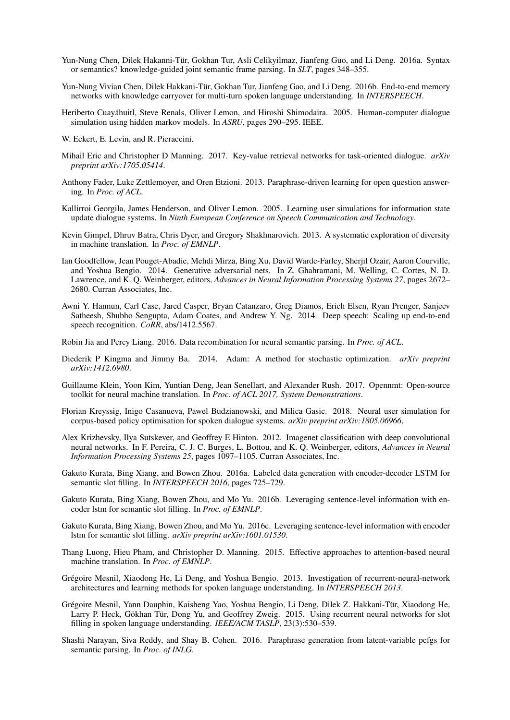- Yun-Nung Chen, Dilek Hakanni-Tür, Gokhan Tur, Asli Celikyilmaz, Jianfeng Guo, and Li Deng. 2016a. Syntax or semantics? knowledge-guided joint semantic frame parsing. In *SLT*, pages 348–355.
- Yun-Nung Vivian Chen, Dilek Hakkani-Tür, Gokhan Tur, Jianfeng Gao, and Li Deng. 2016b. End-to-end memory networks with knowledge carryover for multi-turn spoken language understanding. In *INTERSPEECH*.
- Heriberto Cuayahuitl, Steve Renals, Oliver Lemon, and Hiroshi Shimodaira. 2005. Human-computer dialogue ´ simulation using hidden markov models. In *ASRU*, pages 290–295. IEEE.
- W. Eckert, E. Levin, and R. Pieraccini.
- Mihail Eric and Christopher D Manning. 2017. Key-value retrieval networks for task-oriented dialogue. *arXiv preprint arXiv:1705.05414*.
- Anthony Fader, Luke Zettlemoyer, and Oren Etzioni. 2013. Paraphrase-driven learning for open question answering. In *Proc. of ACL*.
- Kallirroi Georgila, James Henderson, and Oliver Lemon. 2005. Learning user simulations for information state update dialogue systems. In *Ninth European Conference on Speech Communication and Technology*.
- Kevin Gimpel, Dhruv Batra, Chris Dyer, and Gregory Shakhnarovich. 2013. A systematic exploration of diversity in machine translation. In *Proc. of EMNLP*.
- Ian Goodfellow, Jean Pouget-Abadie, Mehdi Mirza, Bing Xu, David Warde-Farley, Sherjil Ozair, Aaron Courville, and Yoshua Bengio. 2014. Generative adversarial nets. In Z. Ghahramani, M. Welling, C. Cortes, N. D. Lawrence, and K. Q. Weinberger, editors, *Advances in Neural Information Processing Systems 27*, pages 2672– 2680. Curran Associates, Inc.
- Awni Y. Hannun, Carl Case, Jared Casper, Bryan Catanzaro, Greg Diamos, Erich Elsen, Ryan Prenger, Sanjeev Satheesh, Shubho Sengupta, Adam Coates, and Andrew Y. Ng. 2014. Deep speech: Scaling up end-to-end speech recognition. *CoRR*, abs/1412.5567.
- Robin Jia and Percy Liang. 2016. Data recombination for neural semantic parsing. In *Proc. of ACL*.
- Diederik P Kingma and Jimmy Ba. 2014. Adam: A method for stochastic optimization. *arXiv preprint arXiv:1412.6980*.
- Guillaume Klein, Yoon Kim, Yuntian Deng, Jean Senellart, and Alexander Rush. 2017. Opennmt: Open-source toolkit for neural machine translation. In *Proc. of ACL 2017, System Demonstrations*.
- Florian Kreyssig, Inigo Casanueva, Pawel Budzianowski, and Milica Gasic. 2018. Neural user simulation for corpus-based policy optimisation for spoken dialogue systems. *arXiv preprint arXiv:1805.06966*.
- Alex Krizhevsky, Ilya Sutskever, and Geoffrey E Hinton. 2012. Imagenet classification with deep convolutional neural networks. In F. Pereira, C. J. C. Burges, L. Bottou, and K. Q. Weinberger, editors, *Advances in Neural Information Processing Systems 25*, pages 1097–1105. Curran Associates, Inc.
- Gakuto Kurata, Bing Xiang, and Bowen Zhou. 2016a. Labeled data generation with encoder-decoder LSTM for semantic slot filling. In *INTERSPEECH 2016*, pages 725–729.
- Gakuto Kurata, Bing Xiang, Bowen Zhou, and Mo Yu. 2016b. Leveraging sentence-level information with encoder lstm for semantic slot filling. In *Proc. of EMNLP*.
- Gakuto Kurata, Bing Xiang, Bowen Zhou, and Mo Yu. 2016c. Leveraging sentence-level information with encoder lstm for semantic slot filling. *arXiv preprint arXiv:1601.01530*.
- Thang Luong, Hieu Pham, and Christopher D. Manning. 2015. Effective approaches to attention-based neural machine translation. In *Proc. of EMNLP*.
- Grégoire Mesnil, Xiaodong He, Li Deng, and Yoshua Bengio. 2013. Investigation of recurrent-neural-network architectures and learning methods for spoken language understanding. In *INTERSPEECH 2013*.
- Grégoire Mesnil, Yann Dauphin, Kaisheng Yao, Yoshua Bengio, Li Deng, Dilek Z. Hakkani-Tür, Xiaodong He, Larry P. Heck, Gökhan Tür, Dong Yu, and Geoffrey Zweig. 2015. Using recurrent neural networks for slot filling in spoken language understanding. *IEEE/ACM TASLP*, 23(3):530–539.
- Shashi Narayan, Siva Reddy, and Shay B. Cohen. 2016. Paraphrase generation from latent-variable pcfgs for semantic parsing. In *Proc. of INLG*.